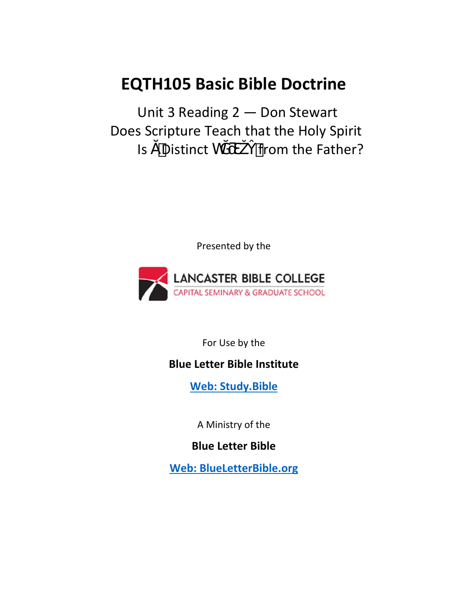# **EQTH105 Basic Bible Doctrine**

Unit 3 Reading 2 — Don Stewart Does Scripture Teach that the Holy Spirit  $Is$  Distinct h from the Father?

Presented by the



For Use by the

### **Blue Letter Bible Institute**

 **Web: Study.Bible**

A Ministry of the

**Blue Letter Bible** 

**Web: BlueLetterBible.org**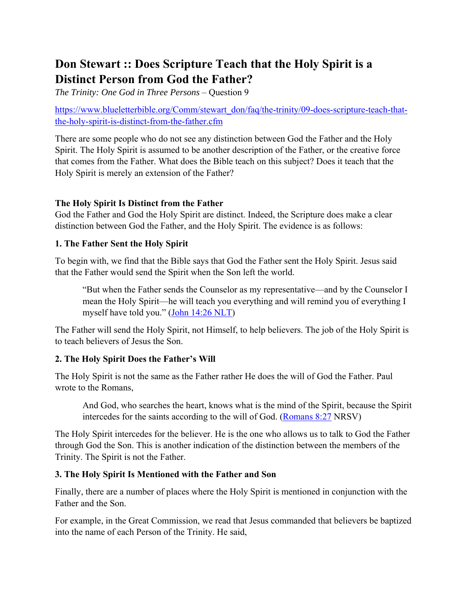## **Don Stewart :: Does Scripture Teach that the Holy Spirit is a Distinct Person from God the Father?**

*The Trinity: One God in Three Persons* – Question 9

https://www.blueletterbible.org/Comm/stewart\_don/faq/the-trinity/09-does-scripture-teach-thatthe-holy-spirit-is-distinct-from-the-father.cfm

There are some people who do not see any distinction between God the Father and the Holy Spirit. The Holy Spirit is assumed to be another description of the Father, or the creative force that comes from the Father. What does the Bible teach on this subject? Does it teach that the Holy Spirit is merely an extension of the Father?

#### **The Holy Spirit Is Distinct from the Father**

God the Father and God the Holy Spirit are distinct. Indeed, the Scripture does make a clear distinction between God the Father, and the Holy Spirit. The evidence is as follows:

#### **1. The Father Sent the Holy Spirit**

To begin with, we find that the Bible says that God the Father sent the Holy Spirit. Jesus said that the Father would send the Spirit when the Son left the world.

"But when the Father sends the Counselor as my representative—and by the Counselor I mean the Holy Spirit—he will teach you everything and will remind you of everything I myself have told you." [\(John 14:26 NLT\)](https://www.blueletterbible.org/NLT/Jhn/14/6)

The Father will send the Holy Spirit, not Himself, to help believers. The job of the Holy Spirit is to teach believers of Jesus the Son.

#### **2. The Holy Spirit Does the Father's Will**

The Holy Spirit is not the same as the Father rather He does the will of God the Father. Paul wrote to the Romans,

And God, who searches the heart, knows what is the mind of the Spirit, because the Spirit intercedes for the saints according to the will of God. [\(Romans 8:27](https://www.blueletterbible.org/NKJV/Rom/8/27/) NRSV)

The Holy Spirit intercedes for the believer. He is the one who allows us to talk to God the Father through God the Son. This is another indication of the distinction between the members of the Trinity. The Spirit is not the Father.

#### **3. The Holy Spirit Is Mentioned with the Father and Son**

Finally, there are a number of places where the Holy Spirit is mentioned in conjunction with the Father and the Son.

For example, in the Great Commission, we read that Jesus commanded that believers be baptized into the name of each Person of the Trinity. He said,